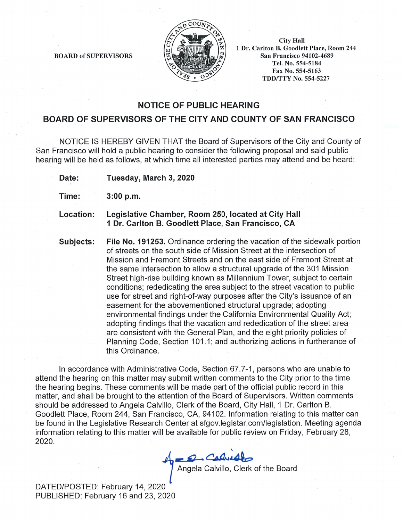

**BOARD of SUPERVISORS** 

**City Hall** 1 Dr. Carlton B. Goodlett Place, Room 244 **San Francisco 94102-4689** Tel. No. 554-5184 Fax No. 554-5163 **TDD/TTY No. 554-5227** 

## **NOTICE OF PUBLIC HEARING**

## BOARD OF SUPERVISORS OF THE CITY AND COUNTY OF SAN FRANCISCO

NOTICE IS HEREBY GIVEN THAT the Board of Supervisors of the City and County of San Francisco will hold a public hearing to consider the following proposal and said public hearing will be held as follows, at which time all interested parties may attend and be heard:

Date: Tuesday, March 3, 2020

Time:  $3:00 p.m.$ 

Legislative Chamber, Room 250, located at City Hall Location: 1 Dr. Carlton B. Goodlett Place, San Francisco, CA

File No. 191253. Ordinance ordering the vacation of the sidewalk portion Subjects: of streets on the south side of Mission Street at the intersection of Mission and Fremont Streets and on the east side of Fremont Street at the same intersection to allow a structural upgrade of the 301 Mission Street high-rise building known as Millennium Tower, subject to certain conditions: rededicating the area subject to the street vacation to public use for street and right-of-way purposes after the City's issuance of an easement for the abovementioned structural upgrade; adopting environmental findings under the California Environmental Quality Act; adopting findings that the vacation and rededication of the street area are consistent with the General Plan, and the eight priority policies of Planning Code, Section 101.1; and authorizing actions in furtherance of this Ordinance.

In accordance with Administrative Code, Section 67.7-1, persons who are unable to attend the hearing on this matter may submit written comments to the City prior to the time the hearing begins. These comments will be made part of the official public record in this matter, and shall be brought to the attention of the Board of Supervisors. Written comments should be addressed to Angela Calvillo, Clerk of the Board, City Hall, 1 Dr. Carlton B. Goodlett Place, Room 244, San Francisco, CA, 94102. Information relating to this matter can be found in the Legislative Research Center at sfgov.legistar.com/legislation. Meeting agenda information relating to this matter will be available for public review on Friday, February 28, 2020.

Angela Calvillo, Clerk of the Board

DATED/POSTED: February 14, 2020 PUBLISHED: February 16 and 23, 2020